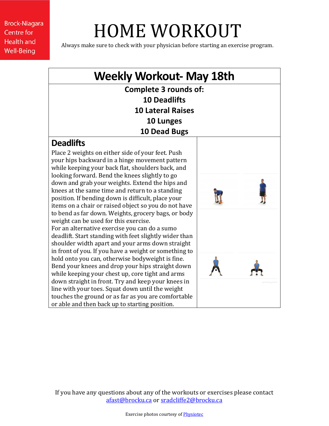**Brock-Niagara Centre for Health and Well-Being** 

## HOME WORKOUT

Always make sure to check with your physician before starting an exercise program.

## **Weekly Workout- May 18th Complete 3 rounds of: 10 Deadlifts 10 Lateral Raises 10 Lunges 10 Dead Bugs Deadlifts** Place 2 weights on either side of your feet. Push your hips backward in a hinge movement pattern while keeping your back flat, shoulders back, and looking forward. Bend the knees slightly to go down and grab your weights. Extend the hips and knees at the same time and return to a standing position. If bending down is difficult, place your items on a chair or raised object so you do not have to bend as far down. Weights, grocery bags, or body weight can be used for this exercise. For an alternative exercise you can do a sumo deadlift. Start standing with feet slightly wider than shoulder width apart and your arms down straight in front of you. If you have a weight or something to hold onto you can, otherwise bodyweight is fine. Bend your knees and drop your hips straight down while keeping your chest up, core tight and arms down straight in front. Try and keep your knees in line with your toes. Squat down until the weight touches the ground or as far as you are comfortable or able and then back up to starting position.

If you have any questions about any of the workouts or exercises please contact [afast@brocku.ca](mailto:afast@brocku.ca) or [sradcliffe2@brocku.ca](mailto:sradcliffe2@brocku.ca)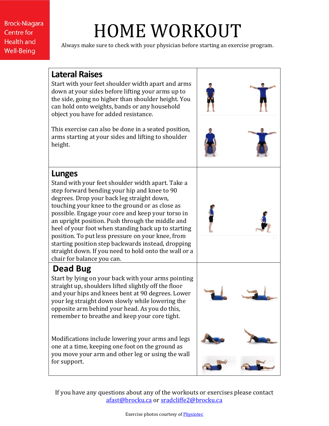**Brock-Niagara Centre for Health and Well-Being** 

## HOME WORKOUT

Always make sure to check with your physician before starting an exercise program.



If you have any questions about any of the workouts or exercises please contact [afast@brocku.ca](mailto:afast@brocku.ca) or [sradcliffe2@brocku.ca](mailto:sradcliffe2@brocku.ca)